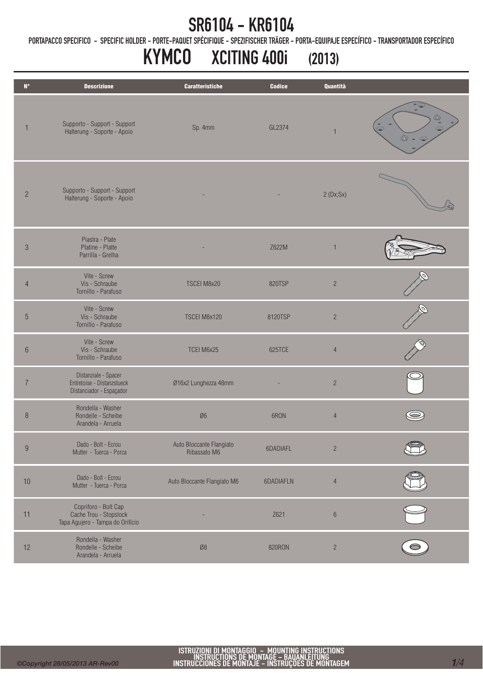PORTAPACCO SPECIFICO - SPECIFIC HOLDER - PORTE-PAQUET SPÉCIFIQUE - SPEZIFISCHER TRÄGER - PORTA-EQUIPAJE ESPECÍFICO - TRANSPORTADOR ESPECÍFICO

# KYMCO XCITING 400i (2013)

| $N^{\circ}$      | <b>Descrizione</b>                                                                 | <b>Caratteristiche</b>                   | <b>Codice</b> | Quantità       |                                                          |
|------------------|------------------------------------------------------------------------------------|------------------------------------------|---------------|----------------|----------------------------------------------------------|
| $\mathbf{1}$     | Supporto - Support - Support<br>Halterung - Soporte - Apoio                        | Sp. 4mm                                  | GL2374        | $\overline{1}$ | $\circ$<br>$\circledcirc$<br>$\bullet$<br>$\circledcirc$ |
| $\overline{c}$   | Supporto - Support - Support<br>Halterung - Soporte - Apoio                        |                                          |               | 2(Dx;Sx)       |                                                          |
| $\sqrt{3}$       | Piastra - Plate<br>Platine - Platte<br>Parrilla - Grelha                           |                                          | Z622M         |                |                                                          |
| $\overline{4}$   | Vite - Screw<br>Vis - Schraube<br>Tornillo - Parafuso                              | TSCEI M8x20                              | 820TSP        | $\overline{c}$ |                                                          |
| $\sqrt{5}$       | Vite - Screw<br>Vis - Schraube<br>Tornillo - Parafuso                              | TSCEI M8x120                             | 8120TSP       | $\overline{c}$ |                                                          |
| $6\phantom{.}6$  | Vite - Screw<br>Vis - Schraube<br>Tornillo - Parafuso                              | TCEI M6x25                               | 625TCE        | $\overline{4}$ |                                                          |
| $\overline{7}$   | Distanziale - Spacer<br>Entretoise - Distanzstueck<br>Distanciador - Espaçador     | Ø16x2 Lunghezza 48mm                     |               | $\sqrt{2}$     |                                                          |
| 8                | Rondella - Washer<br>Rondelle - Scheibe<br>Arandela - Arruela                      | Ø6                                       | 6RON          | $\overline{4}$ |                                                          |
| $\boldsymbol{9}$ | Dado - Bolt - Ecrou<br>Mutter - Tuerca - Porca                                     | Auto Bloccante Flangiato<br>Ribassato M6 | 6DADIAFL      | $\sqrt{2}$     |                                                          |
| 10               | Dado - Bolt - Ecrou<br>Mutter - Tuerca - Porca                                     | Auto Bloccante Flangiato M6              | 6DADIAFLN     | $\overline{4}$ |                                                          |
| 11               | Copriforo - Bolt Cap<br>Cache Trou - Stopslock<br>Tapa Agujero - Tampa do Orifício |                                          | Z621          | $\,6\,$        |                                                          |
| 12               | Rondella - Washer<br>Rondelle - Scheibe<br>Arandela - Arruela                      | $\mathcal{B}8$                           | 820RON        | $\sqrt{2}$     |                                                          |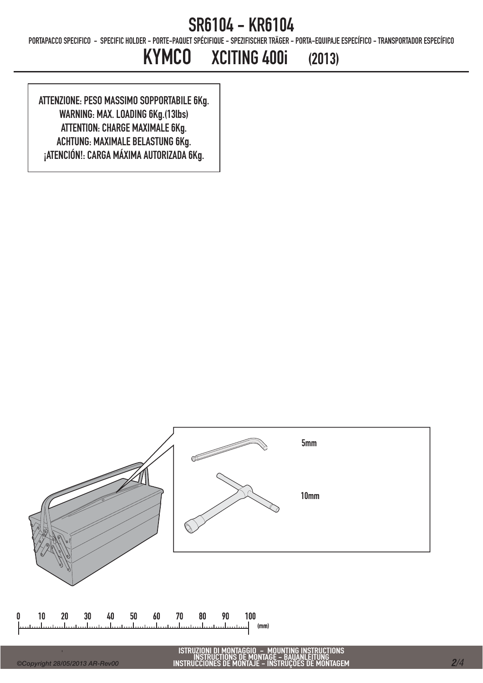PORTAPACCO SPECIFICO - SPECIFIC HOLDER - PORTE-PAQUET SPÉCIFIQUE - SPEZIFISCHER TRÄGER - PORTA-EQUIPAJE ESPECÍFICO - TRANSPORTADOR ESPECÍFICO

## KYMCO XCITING 400i (2013)

ATTENZIONE: PESO MASSIMO SOPPORTABILE 6Kg. WARNING: MAX. LOADING 6Kg.(13lbs) ATTENTION: CHARGE MAXIMALE 6Kg. ACHTUNG: MAXIMALE BELASTUNG 6Kg. ¡ATENCIÓN!: CARGA MÁXIMA AUTORIZADA 6Kg.

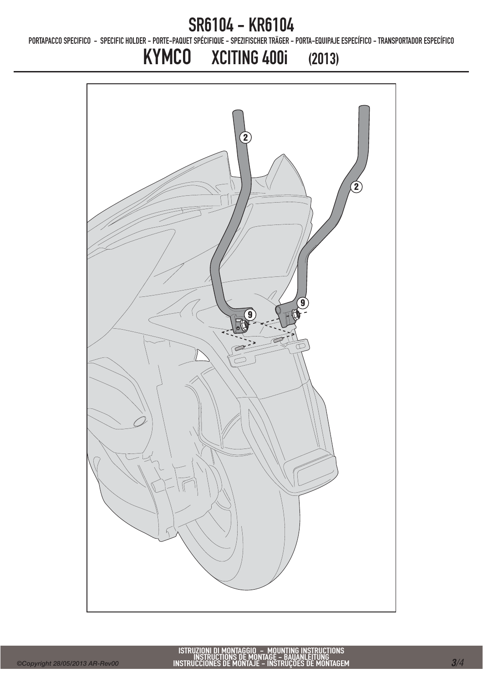PORTAPACCO SPECIFICO - SPECIFIC HOLDER - PORTE-PAQUET SPÉCIFIQUE - SPEZIFISCHER TRÄGER - PORTA-EQUIPAJE ESPECÍFICO - TRANSPORTADOR ESPECÍFICO

## KYMCO XCITING 400i (2013)